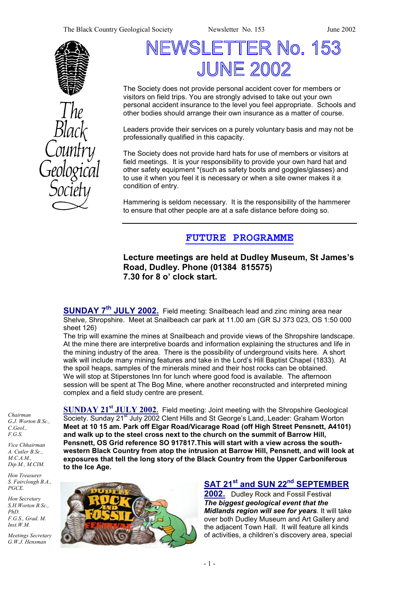The Black Country Geological Society Newsletter No. 153 June 2002





# VSLETTER No. 153 **JUNE 2002**

The Society does not provide personal accident cover for members or visitors on field trips. You are strongly advised to take out your own personal accident insurance to the level you feel appropriate. Schools and other bodies should arrange their own insurance as a matter of course.

Leaders provide their services on a purely voluntary basis and may not be professionally qualified in this capacity.

The Society does not provide hard hats for use of members or visitors at field meetings. It is your responsibility to provide your own hard hat and other safety equipment \*(such as safety boots and goggles/glasses) and to use it when you feel it is necessary or when a site owner makes it a condition of entry.

Hammering is seldom necessary. It is the responsibility of the hammerer to ensure that other people are at a safe distance before doing so.

# **FUTURE PROGRAMME**

## **Lecture meetings are held at Dudley Museum, St James's Road, Dudley. Phone (01384 815575) 7.30 for 8 o' clock start.**

**SUNDAY 7th JULY 2002.** Field meeting: Snailbeach lead and zinc mining area near Shelve, Shropshire. Meet at Snailbeach car park at 11.00 am (GR SJ 373 023, OS 1:50 000 sheet 126)

The trip will examine the mines at Snailbeach and provide views of the Shropshire landscape. At the mine there are interpretive boards and information explaining the structures and life in the mining industry of the area. There is the possibility of underground visits here. A short walk will include many mining features and take in the Lord's Hill Baptist Chapel (1833). At the spoil heaps, samples of the minerals mined and their host rocks can be obtained. We will stop at Stiperstones Inn for lunch where good food is available. The afternoon session will be spent at The Bog Mine, where another reconstructed and interpreted mining complex and a field study centre are present.

*Chairman G.J. Worton B.Sc., C.Geol., F.G.S.* 

*Vice Chhairman A. Cutler B.Sc., M.C.A.M., Dip.M., M.CIM.* 

*Hon Treasurer S. Fairclough B.A., PGCE.* 

*Hon Secretary S.H.Worton B.Sc., PhD. F.G.S., Grad. M. Inst.W.M.* 

*Meetings Secretary G.W.J. Hensman* 

**SUNDAY 21st JULY 2002.** Field meeting: Joint meeting with the Shropshire Geological Society. Sunday 21<sup>st</sup> July 2002 Clent Hills and St George's Land, Leader: Graham Worton **Meet at 10 15 am. Park off Elgar Road/Vicarage Road (off High Street Pensnett, A4101) and walk up to the steel cross next to the church on the summit of Barrow Hill, Pensnett, OS Grid reference SO 917817.This will start with a view across the southwestern Black Country from atop the intrusion at Barrow Hill, Pensnett, and will look at exposures that tell the long story of the Black Country from the Upper Carboniferous to the Ice Age.** 



# **SAT 21st and SUN 22nd SEPTEMBER**

**2002.** Dudley Rock and Fossil Festival *The biggest geological event that the Midlands region will see for years*. It will take over both Dudley Museum and Art Gallery and the adjacent Town Hall. It will feature all kinds of activities, a children's discovery area, special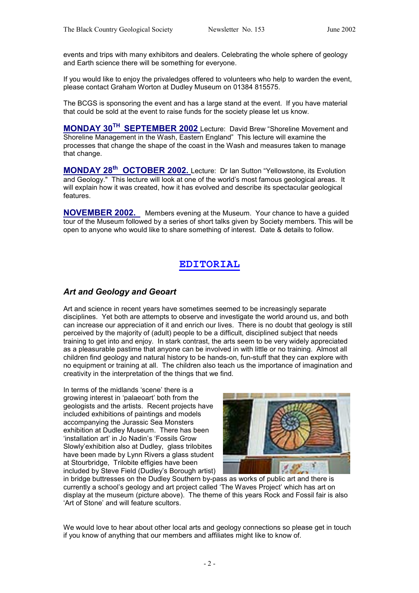events and trips with many exhibitors and dealers. Celebrating the whole sphere of geology and Earth science there will be something for everyone.

If you would like to enjoy the privaledges offered to volunteers who help to warden the event, please contact Graham Worton at Dudley Museum on 01384 815575.

The BCGS is sponsoring the event and has a large stand at the event. If you have material that could be sold at the event to raise funds for the society please let us know.

**MONDAY 30TH SEPTEMBER 2002** Lecture: David Brew "Shoreline Movement and Shoreline Management in the Wash, Eastern England" This lecture will examine the processes that change the shape of the coast in the Wash and measures taken to manage that change.

**MONDAY 28th OCTOBER 2002.** Lecture: Dr Ian Sutton "Yellowstone, its Evolution and Geology." This lecture will look at one of the world's most famous geological areas. It will explain how it was created, how it has evolved and describe its spectacular geological features.

**NOVEMBER 2002.** Members evening at the Museum. Your chance to have a guided tour of the Museum followed by a series of short talks given by Society members. This will be open to anyone who would like to share something of interest. Date & details to follow.

## **EDITORIAL**

## *Art and Geology and Geoart*

Art and science in recent years have sometimes seemed to be increasingly separate disciplines. Yet both are attempts to observe and investigate the world around us, and both can increase our appreciation of it and enrich our lives. There is no doubt that geology is still perceived by the majority of (adult) people to be a difficult, disciplined subject that needs training to get into and enjoy. In stark contrast, the arts seem to be very widely appreciated as a pleasurable pastime that anyone can be involved in with little or no training. Almost all children find geology and natural history to be hands-on, fun-stuff that they can explore with no equipment or training at all. The children also teach us the importance of imagination and creativity in the interpretation of the things that we find.

In terms of the midlands 'scene' there is a growing interest in 'palaeoart' both from the geologists and the artists. Recent projects have included exhibitions of paintings and models accompanying the Jurassic Sea Monsters exhibition at Dudley Museum. There has been 'installation art' in Jo Nadin's 'Fossils Grow Slowly'exhibition also at Dudley, glass trilobites have been made by Lynn Rivers a glass student at Stourbridge, Trilobite effigies have been included by Steve Field (Dudley's Borough artist)



in bridge buttresses on the Dudley Southern by-pass as works of public art and there is currently a school's geology and art project called 'The Waves Project' which has art on display at the museum (picture above). The theme of this years Rock and Fossil fair is also 'Art of Stone' and will feature scultors.

We would love to hear about other local arts and geology connections so please get in touch if you know of anything that our members and affiliates might like to know of.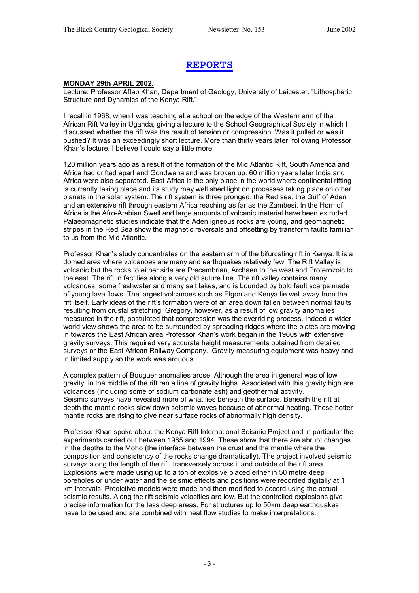## **REPORTS**

## **MONDAY 29th APRIL 2002.**

Lecture: Professor Aftab Khan, Department of Geology, University of Leicester. "Lithospheric Structure and Dynamics of the Kenya Rift."

I recall in 1968, when I was teaching at a school on the edge of the Western arm of the African Rift Valley in Uganda, giving a lecture to the School Geographical Society in which I discussed whether the rift was the result of tension or compression. Was it pulled or was it pushed? It was an exceedingly short lecture. More than thirty years later, following Professor Khan's lecture, I believe I could say a little more.

120 million years ago as a result of the formation of the Mid Atlantic Rift, South America and Africa had drifted apart and Gondwanaland was broken up. 60 million years later India and Africa were also separated. East Africa is the only place in the world where continental rifting is currently taking place and its study may well shed light on processes taking place on other planets in the solar system. The rift system is three pronged, the Red sea, the Gulf of Aden and an extensive rift through eastern Africa reaching as far as the Zambesi. In the Horn of Africa is the Afro-Arabian Swell and large amounts of volcanic material have been extruded. Palaeomagnetic studies indicate that the Aden igneous rocks are young, and geomagnetic stripes in the Red Sea show the magnetic reversals and offsetting by transform faults familiar to us from the Mid Atlantic.

Professor Khan's study concentrates on the eastern arm of the bifurcating rift in Kenya. It is a domed area where volcanoes are many and earthquakes relatively few. The Rift Valley is volcanic but the rocks to either side are Precambrian, Archaen to the west and Proterozoic to the east. The rift in fact lies along a very old suture line. The rift valley contains many volcanoes, some freshwater and many salt lakes, and is bounded by bold fault scarps made of young lava flows. The largest volcanoes such as Elgon and Kenya lie well away from the rift itself. Early ideas of the rift's formation were of an area down fallen between normal faults resulting from crustal stretching. Gregory, however, as a result of low gravity anomalies measured in the rift, postulated that compression was the overriding process. Indeed a wider world view shows the area to be surrounded by spreading ridges where the plates are moving in towards the East African area.Professor Khan's work began in the 1960s with extensive gravity surveys. This required very accurate height measurements obtained from detailed surveys or the East African Railway Company. Gravity measuring equipment was heavy and in limited supply so the work was arduous.

A complex pattern of Bouguer anomalies arose. Although the area in general was of low gravity, in the middle of the rift ran a line of gravity highs. Associated with this gravity high are volcanoes (including some of sodium carbonate ash) and geothermal activity. Seismic surveys have revealed more of what lies beneath the surface. Beneath the rift at depth the mantle rocks slow down seismic waves because of abnormal heating. These hotter mantle rocks are rising to give near surface rocks of abnormally high density.

Professor Khan spoke about the Kenya Rift International Seismic Project and in particular the experiments carried out between 1985 and 1994. These show that there are abrupt changes in the depths to the Moho (the interface between the crust and the mantle where the composition and consistency of the rocks change dramatically). The project involved seismic surveys along the length of the rift, transversely across it and outside of the rift area. Explosions were made using up to a ton of explosive placed either in 50 metre deep boreholes or under water and the seismic effects and positions were recorded digitally at 1 km intervals. Predictive models were made and then modified to accord using the actual seismic results. Along the rift seismic velocities are low. But the controlled explosions give precise information for the less deep areas. For structures up to 50km deep earthquakes have to be used and are combined with heat flow studies to make interpretations.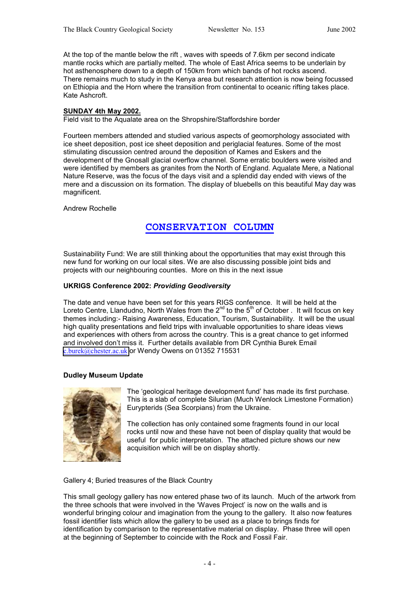At the top of the mantle below the rift , waves with speeds of 7.6km per second indicate mantle rocks which are partially melted. The whole of East Africa seems to be underlain by hot asthenosphere down to a depth of 150km from which bands of hot rocks ascend. There remains much to study in the Kenya area but research attention is now being focussed on Ethiopia and the Horn where the transition from continental to oceanic rifting takes place. Kate Ashcroft.

#### **SUNDAY 4th May 2002.**

Field visit to the Aqualate area on the Shropshire/Staffordshire border

Fourteen members attended and studied various aspects of geomorphology associated with ice sheet deposition, post ice sheet deposition and periglacial features. Some of the most stimulating discussion centred around the deposition of Kames and Eskers and the development of the Gnosall glacial overflow channel. Some erratic boulders were visited and were identified by members as granites from the North of England. Aqualate Mere, a National Nature Reserve, was the focus of the days visit and a splendid day ended with views of the mere and a discussion on its formation. The display of bluebells on this beautiful May day was magnificent.

Andrew Rochelle

## **CONSERVATION COLUMN**

Sustainability Fund: We are still thinking about the opportunities that may exist through this new fund for working on our local sites. We are also discussing possible joint bids and projects with our neighbouring counties. More on this in the next issue

#### **UKRIGS Conference 2002:** *Providing Geodiversity*

The date and venue have been set for this years RIGS conference. It will be held at the Loreto Centre, Llandudno, North Wales from the  $2^{nd}$  to the  $5^{th}$  of October . It will focus on key themes including:- Raising Awareness, Education, Tourism, Sustainability. It will be the usual high quality presentations and field trips with invaluable opportunities to share ideas views and experiences with others from across the country. This is a great chance to get informed and involved don't miss it. Further details available from DR Cynthia Burek Email [c.burek@chester.ac.uk](mailto:c.burek@chester.ac.uk) or Wendy Owens on 01352 715531

#### **Dudley Museum Update**



The 'geological heritage development fund' has made its first purchase. This is a slab of complete Silurian (Much Wenlock Limestone Formation) Eurypterids (Sea Scorpians) from the Ukraine.

The collection has only contained some fragments found in our local rocks until now and these have not been of display quality that would be useful for public interpretation. The attached picture shows our new acquisition which will be on display shortly.

#### Gallery 4; Buried treasures of the Black Country

This small geology gallery has now entered phase two of its launch. Much of the artwork from the three schools that were involved in the 'Waves Project' is now on the walls and is wonderful bringing colour and imagination from the young to the gallery. It also now features fossil identifier lists which allow the gallery to be used as a place to brings finds for identification by comparison to the representative material on display. Phase three will open at the beginning of September to coincide with the Rock and Fossil Fair.